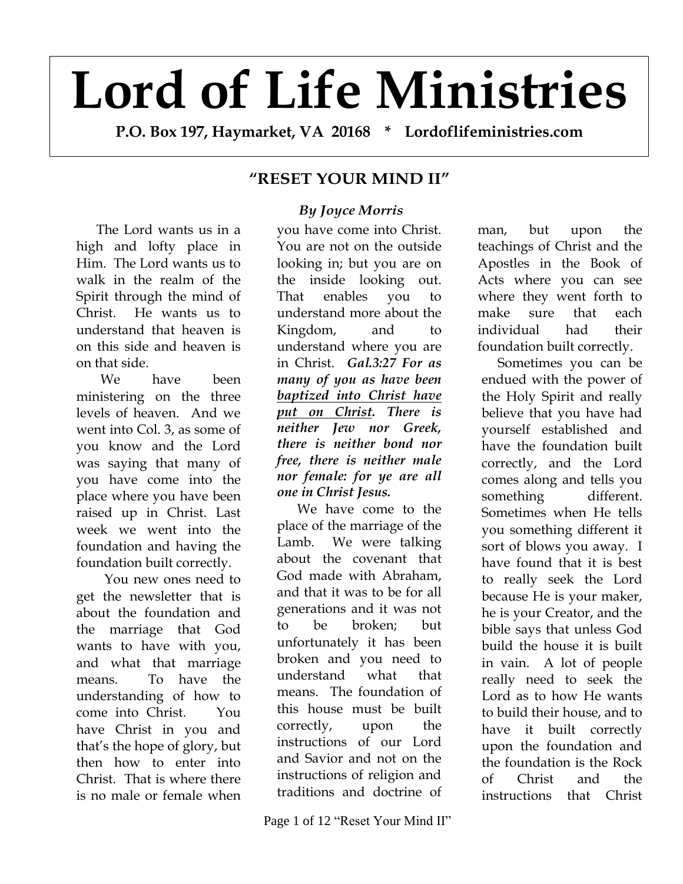# **Lord of Life Ministries**

**P.O. Box 197, Haymarket, VA 20168 \* Lordoflifeministries.com**

## **"RESET YOUR MIND II"**

## *By Joyce Morris*

The Lord wants us in a high and lofty place in Him. The Lord wants us to walk in the realm of the Spirit through the mind of Christ. He wants us to understand that heaven is on this side and heaven is on that side.

We have been ministering on the three levels of heaven. And we went into Col. 3, as some of you know and the Lord was saying that many of you have come into the place where you have been raised up in Christ. Last week we went into the foundation and having the foundation built correctly.

You new ones need to get the newsletter that is about the foundation and the marriage that God wants to have with you, and what that marriage means. To have the understanding of how to come into Christ. You have Christ in you and that's the hope of glory, but then how to enter into Christ. That is where there is no male or female when

you have come into Christ. You are not on the outside looking in; but you are on the inside looking out. That enables you to understand more about the Kingdom, and to understand where you are in Christ. *Gal.3:27 For as many of you as have been baptized into Christ have put on Christ. There is neither Jew nor Greek, there is neither bond nor free, there is neither male nor female: for ye are all one in Christ Jesus.* 

We have come to the place of the marriage of the Lamb. We were talking about the covenant that God made with Abraham, and that it was to be for all generations and it was not to be broken; but unfortunately it has been broken and you need to understand what that means. The foundation of this house must be built correctly, upon the instructions of our Lord and Savior and not on the instructions of religion and traditions and doctrine of

man, but upon the teachings of Christ and the Apostles in the Book of Acts where you can see where they went forth to make sure that each individual had their foundation built correctly.

Sometimes you can be endued with the power of the Holy Spirit and really believe that you have had yourself established and have the foundation built correctly, and the Lord comes along and tells you something different. Sometimes when He tells you something different it sort of blows you away. I have found that it is best to really seek the Lord because He is your maker, he is your Creator, and the bible says that unless God build the house it is built in vain. A lot of people really need to seek the Lord as to how He wants to build their house, and to have it built correctly upon the foundation and the foundation is the Rock of Christ and the instructions that Christ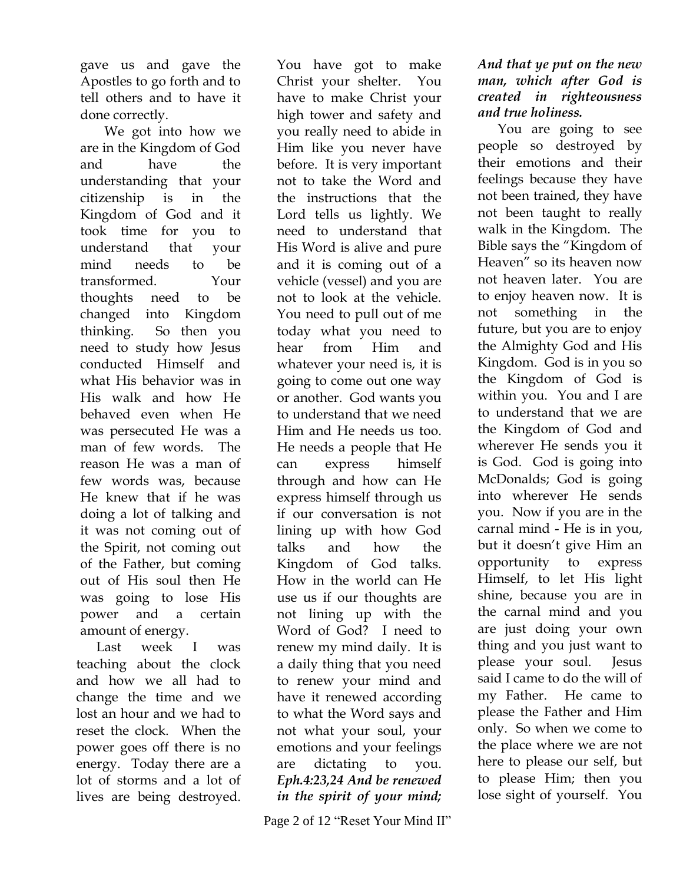gave us and gave the Apostles to go forth and to tell others and to have it done correctly.

We got into how we are in the Kingdom of God and have the understanding that your citizenship is in the Kingdom of God and it took time for you to understand that your mind needs to be transformed. Your thoughts need to be changed into Kingdom thinking. So then you need to study how Jesus conducted Himself and what His behavior was in His walk and how He behaved even when He was persecuted He was a man of few words. The reason He was a man of few words was, because He knew that if he was doing a lot of talking and it was not coming out of the Spirit, not coming out of the Father, but coming out of His soul then He was going to lose His power and a certain amount of energy.

Last week I was teaching about the clock and how we all had to change the time and we lost an hour and we had to reset the clock. When the power goes off there is no energy. Today there are a lot of storms and a lot of lives are being destroyed.

You have got to make Christ your shelter. You have to make Christ your high tower and safety and you really need to abide in Him like you never have before. It is very important not to take the Word and the instructions that the Lord tells us lightly. We need to understand that His Word is alive and pure and it is coming out of a vehicle (vessel) and you are not to look at the vehicle. You need to pull out of me today what you need to hear from Him and whatever your need is, it is going to come out one way or another. God wants you to understand that we need Him and He needs us too. He needs a people that He can express himself through and how can He express himself through us if our conversation is not lining up with how God talks and how the Kingdom of God talks. How in the world can He use us if our thoughts are not lining up with the Word of God? I need to renew my mind daily. It is a daily thing that you need to renew your mind and have it renewed according to what the Word says and not what your soul, your emotions and your feelings are dictating to you. *Eph.4:23,24 And be renewed in the spirit of your mind;* 

Page 2 of 12 "Reset Your Mind II"

#### *And that ye put on the new man, which after God is created in righteousness and true holiness.*

You are going to see people so destroyed by their emotions and their feelings because they have not been trained, they have not been taught to really walk in the Kingdom. The Bible says the "Kingdom of Heaven" so its heaven now not heaven later. You are to enjoy heaven now. It is not something in the future, but you are to enjoy the Almighty God and His Kingdom. God is in you so the Kingdom of God is within you. You and I are to understand that we are the Kingdom of God and wherever He sends you it is God. God is going into McDonalds; God is going into wherever He sends you. Now if you are in the carnal mind - He is in you, but it doesn't give Him an opportunity to express Himself, to let His light shine, because you are in the carnal mind and you are just doing your own thing and you just want to please your soul. Jesus said I came to do the will of my Father. He came to please the Father and Him only. So when we come to the place where we are not here to please our self, but to please Him; then you lose sight of yourself. You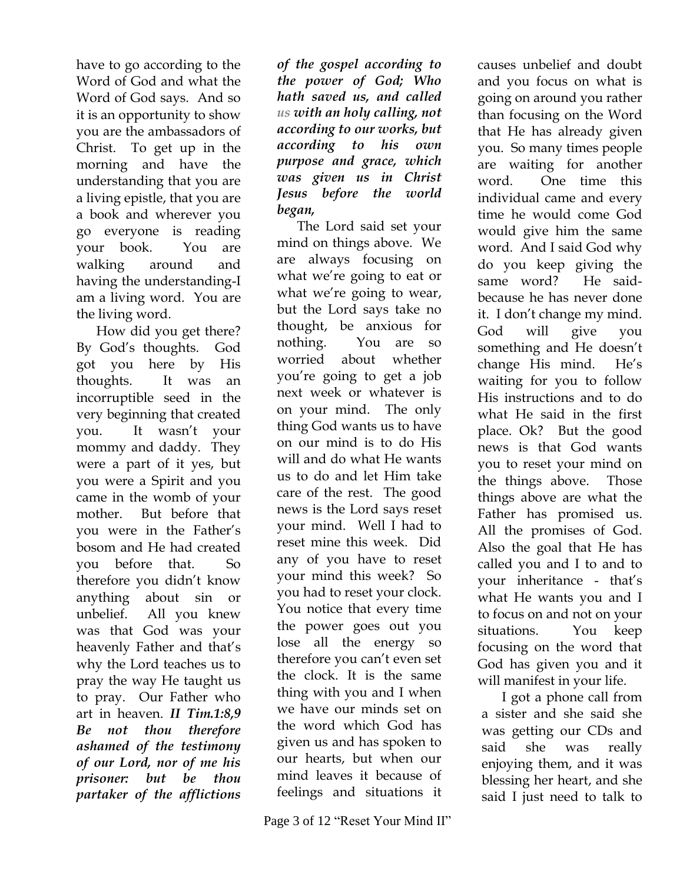have to go according to the Word of God and what the Word of God says. And so it is an opportunity to show you are the ambassadors of Christ. To get up in the morning and have the understanding that you are a living epistle, that you are a book and wherever you go everyone is reading your book. You are walking around and having the understanding-I am a living word. You are the living word.

How did you get there? By God's thoughts. God got you here by His thoughts. It was an incorruptible seed in the very beginning that created you. It wasn't your mommy and daddy. They were a part of it yes, but you were a Spirit and you came in the womb of your mother. But before that you were in the Father's bosom and He had created you before that. So therefore you didn't know anything about sin or unbelief. All you knew was that God was your heavenly Father and that's why the Lord teaches us to pray the way He taught us to pray. Our Father who art in heaven. *II Tim.1:8,9 Be not thou therefore ashamed of the testimony of our Lord, nor of me his prisoner: but be thou partaker of the afflictions* 

*of the gospel according to the power of God; Who hath saved us, and called us with an holy calling, not according to our works, but according to his own purpose and grace, which was given us in Christ Jesus before the world began,* 

The Lord said set your mind on things above. We are always focusing on what we're going to eat or what we're going to wear, but the Lord says take no thought, be anxious for nothing. You are so worried about whether you're going to get a job next week or whatever is on your mind. The only thing God wants us to have on our mind is to do His will and do what He wants us to do and let Him take care of the rest. The good news is the Lord says reset your mind. Well I had to reset mine this week. Did any of you have to reset your mind this week? So you had to reset your clock. You notice that every time the power goes out you lose all the energy so therefore you can't even set the clock. It is the same thing with you and I when we have our minds set on the word which God has given us and has spoken to our hearts, but when our mind leaves it because of feelings and situations it

causes unbelief and doubt and you focus on what is going on around you rather than focusing on the Word that He has already given you. So many times people are waiting for another word. One time this individual came and every time he would come God would give him the same word. And I said God why do you keep giving the same word? He saidbecause he has never done it. I don't change my mind. God will give you something and He doesn't change His mind. He's waiting for you to follow His instructions and to do what He said in the first place. Ok? But the good news is that God wants you to reset your mind on the things above. Those things above are what the Father has promised us. All the promises of God. Also the goal that He has called you and I to and to your inheritance - that's what He wants you and I to focus on and not on your situations. You keep focusing on the word that God has given you and it will manifest in your life.

I got a phone call from a sister and she said she was getting our CDs and said she was really enjoying them, and it was blessing her heart, and she said I just need to talk to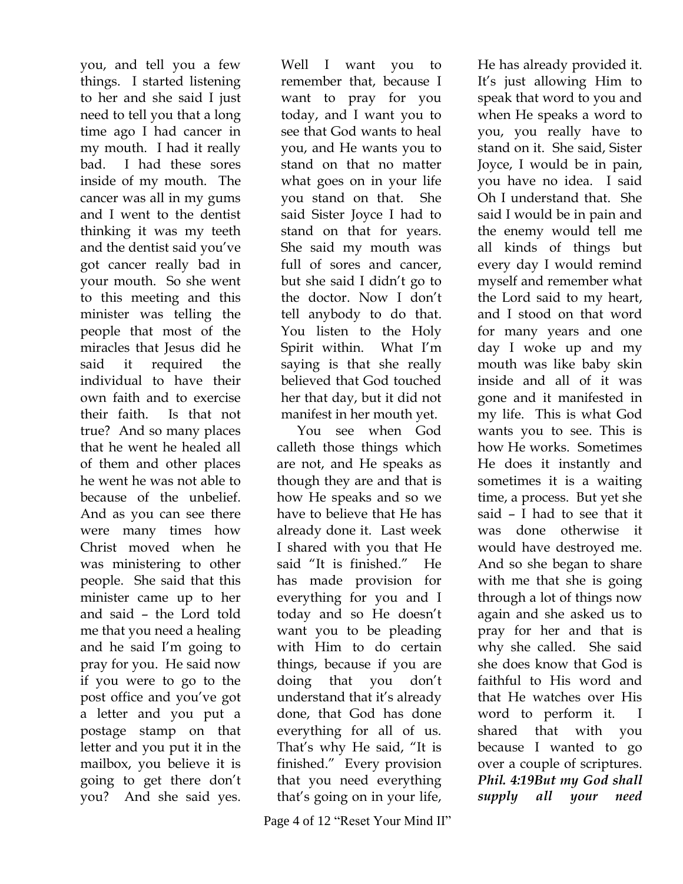you, and tell you a few things. I started listening to her and she said I just need to tell you that a long time ago I had cancer in my mouth. I had it really bad. I had these sores inside of my mouth. The cancer was all in my gums and I went to the dentist thinking it was my teeth and the dentist said you've got cancer really bad in your mouth. So she went to this meeting and this minister was telling the people that most of the miracles that Jesus did he said it required the individual to have their own faith and to exercise their faith. Is that not true? And so many places that he went he healed all of them and other places he went he was not able to because of the unbelief. And as you can see there were many times how Christ moved when he was ministering to other people. She said that this minister came up to her and said – the Lord told me that you need a healing and he said I'm going to pray for you. He said now if you were to go to the post office and you've got a letter and you put a postage stamp on that letter and you put it in the mailbox, you believe it is going to get there don't you? And she said yes.

Well I want you to remember that, because I want to pray for you today, and I want you to see that God wants to heal you, and He wants you to stand on that no matter what goes on in your life you stand on that. She said Sister Joyce I had to stand on that for years. She said my mouth was full of sores and cancer, but she said I didn't go to the doctor. Now I don't tell anybody to do that. You listen to the Holy Spirit within. What I'm saying is that she really believed that God touched her that day, but it did not manifest in her mouth yet.

You see when God calleth those things which are not, and He speaks as though they are and that is how He speaks and so we have to believe that He has already done it. Last week I shared with you that He said "It is finished." He has made provision for everything for you and I today and so He doesn't want you to be pleading with Him to do certain things, because if you are doing that you don't understand that it's already done, that God has done everything for all of us. That's why He said, "It is finished." Every provision that you need everything that's going on in your life,

Page 4 of 12 "Reset Your Mind II"

He has already provided it. It's just allowing Him to speak that word to you and when He speaks a word to you, you really have to stand on it. She said, Sister Joyce, I would be in pain, you have no idea. I said Oh I understand that. She said I would be in pain and the enemy would tell me all kinds of things but every day I would remind myself and remember what the Lord said to my heart, and I stood on that word for many years and one day I woke up and my mouth was like baby skin inside and all of it was gone and it manifested in my life. This is what God wants you to see. This is how He works. Sometimes He does it instantly and sometimes it is a waiting time, a process. But yet she said – I had to see that it was done otherwise it would have destroyed me. And so she began to share with me that she is going through a lot of things now again and she asked us to pray for her and that is why she called. She said she does know that God is faithful to His word and that He watches over His word to perform it. I shared that with you because I wanted to go over a couple of scriptures. *Phil. 4:19But my God shall supply all your need*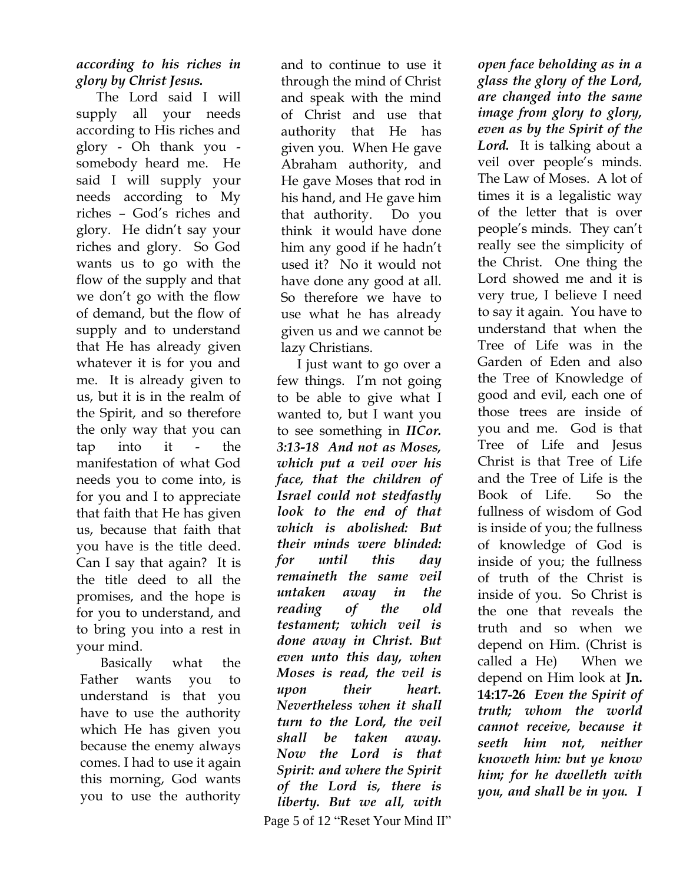### *according to his riches in glory by Christ Jesus.*

The Lord said I will supply all your needs according to His riches and glory - Oh thank you somebody heard me. He said I will supply your needs according to My riches – God's riches and glory. He didn't say your riches and glory. So God wants us to go with the flow of the supply and that we don't go with the flow of demand, but the flow of supply and to understand that He has already given whatever it is for you and me. It is already given to us, but it is in the realm of the Spirit, and so therefore the only way that you can tap into it - the manifestation of what God needs you to come into, is for you and I to appreciate that faith that He has given us, because that faith that you have is the title deed. Can I say that again? It is the title deed to all the promises, and the hope is for you to understand, and to bring you into a rest in your mind.

Basically what the Father wants you to understand is that you have to use the authority which He has given you because the enemy always comes. I had to use it again this morning, God wants you to use the authority

and to continue to use it through the mind of Christ and speak with the mind of Christ and use that authority that He has given you. When He gave Abraham authority, and He gave Moses that rod in his hand, and He gave him that authority. Do you think it would have done him any good if he hadn't used it? No it would not have done any good at all. So therefore we have to use what he has already given us and we cannot be lazy Christians.

 Page 5 of 12 "Reset Your Mind II" I just want to go over a few things. I'm not going to be able to give what I wanted to, but I want you to see something in *IICor. 3:13-18 And not as Moses, which put a veil over his face, that the children of Israel could not stedfastly look to the end of that which is abolished: But their minds were blinded: for until this day remaineth the same veil untaken away in the reading of the old testament; which veil is done away in Christ. But even unto this day, when Moses is read, the veil is upon their heart. Nevertheless when it shall turn to the Lord, the veil shall be taken away. Now the Lord is that Spirit: and where the Spirit of the Lord is, there is liberty. But we all, with* 

*open face beholding as in a glass the glory of the Lord, are changed into the same image from glory to glory, even as by the Spirit of the*  Lord. It is talking about a veil over people's minds. The Law of Moses. A lot of times it is a legalistic way of the letter that is over people's minds. They can't really see the simplicity of the Christ. One thing the Lord showed me and it is very true, I believe I need to say it again. You have to understand that when the Tree of Life was in the Garden of Eden and also the Tree of Knowledge of good and evil, each one of those trees are inside of you and me. God is that Tree of Life and Jesus Christ is that Tree of Life and the Tree of Life is the Book of Life. So the fullness of wisdom of God is inside of you; the fullness of knowledge of God is inside of you; the fullness of truth of the Christ is inside of you. So Christ is the one that reveals the truth and so when we depend on Him. (Christ is called a He) When we depend on Him look at **Jn. 14:17-26** *Even the Spirit of truth; whom the world cannot receive, because it seeth him not, neither knoweth him: but ye know him; for he dwelleth with you, and shall be in you. I*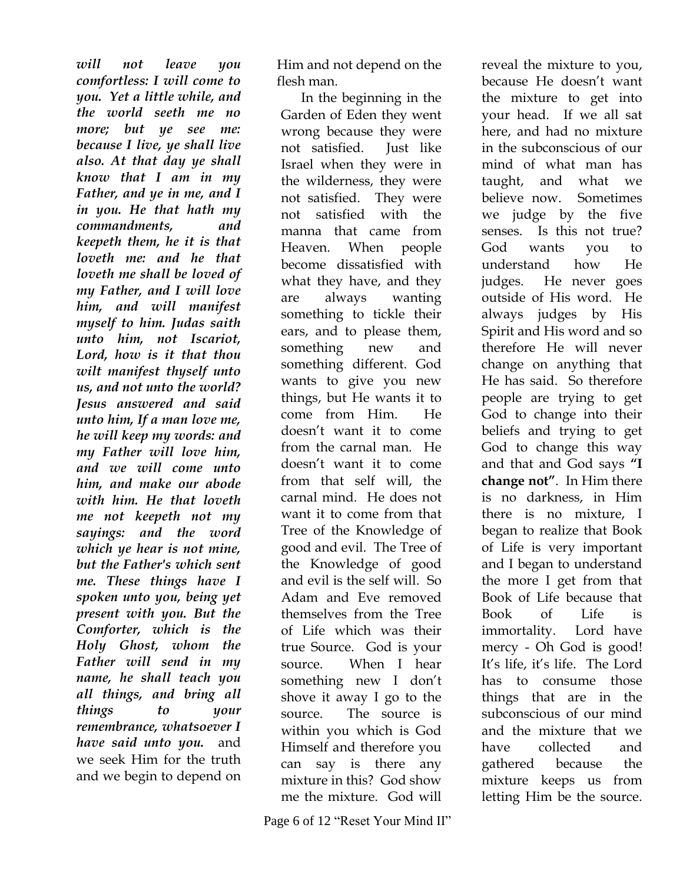*will not leave you comfortless: I will come to you. Yet a little while, and the world seeth me no more; but ye see me: because I live, ye shall live also. At that day ye shall know that I am in my Father, and ye in me, and I in you. He that hath my commandments, and keepeth them, he it is that loveth me: and he that loveth me shall be loved of my Father, and I will love him, and will manifest myself to him. Judas saith unto him, not Iscariot, Lord, how is it that thou wilt manifest thyself unto us, and not unto the world? Jesus answered and said unto him, If a man love me, he will keep my words: and my Father will love him, and we will come unto him, and make our abode with him. He that loveth me not keepeth not my sayings: and the word which ye hear is not mine, but the Father's which sent me. These things have I spoken unto you, being yet present with you. But the Comforter, which is the Holy Ghost, whom the Father will send in my name, he shall teach you all things, and bring all things to your remembrance, whatsoever I have said unto you.* and we seek Him for the truth and we begin to depend on

Him and not depend on the flesh man.

In the beginning in the Garden of Eden they went wrong because they were not satisfied. Just like Israel when they were in the wilderness, they were not satisfied. They were not satisfied with the manna that came from Heaven. When people become dissatisfied with what they have, and they are always wanting something to tickle their ears, and to please them, something new and something different. God wants to give you new things, but He wants it to come from Him. He doesn't want it to come from the carnal man. He doesn't want it to come from that self will, the carnal mind. He does not want it to come from that Tree of the Knowledge of good and evil. The Tree of the Knowledge of good and evil is the self will. So Adam and Eve removed themselves from the Tree of Life which was their true Source. God is your source. When I hear something new I don't shove it away I go to the source. The source is within you which is God Himself and therefore you can say is there any mixture in this? God show me the mixture. God will

reveal the mixture to you, because He doesn't want the mixture to get into your head. If we all sat here, and had no mixture in the subconscious of our mind of what man has taught, and what we believe now. Sometimes we judge by the five senses. Is this not true? God wants you to understand how He judges. He never goes outside of His word. He always judges by His Spirit and His word and so therefore He will never change on anything that He has said. So therefore people are trying to get God to change into their beliefs and trying to get God to change this way and that and God says **"I change not"**. In Him there is no darkness, in Him there is no mixture, I began to realize that Book of Life is very important and I began to understand the more I get from that Book of Life because that Book of Life is immortality. Lord have mercy - Oh God is good! It's life, it's life. The Lord has to consume those things that are in the subconscious of our mind and the mixture that we have collected and gathered because the mixture keeps us from letting Him be the source.

Page 6 of 12 "Reset Your Mind II"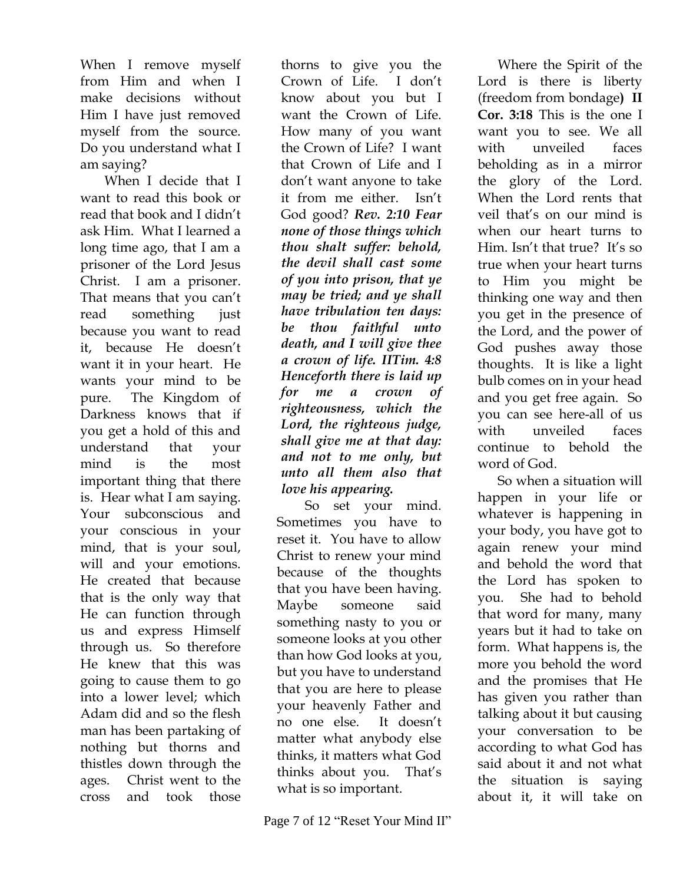When I remove myself from Him and when I make decisions without Him I have just removed myself from the source. Do you understand what I am saying?

When I decide that I want to read this book or read that book and I didn't ask Him. What I learned a long time ago, that I am a prisoner of the Lord Jesus Christ. I am a prisoner. That means that you can't read something just because you want to read it, because He doesn't want it in your heart. He wants your mind to be pure. The Kingdom of Darkness knows that if you get a hold of this and understand that your mind is the most important thing that there is. Hear what I am saying. Your subconscious and your conscious in your mind, that is your soul, will and your emotions. He created that because that is the only way that He can function through us and express Himself through us. So therefore He knew that this was going to cause them to go into a lower level; which Adam did and so the flesh man has been partaking of nothing but thorns and thistles down through the ages. Christ went to the cross and took those

thorns to give you the Crown of Life. I don't know about you but I want the Crown of Life. How many of you want the Crown of Life? I want that Crown of Life and I don't want anyone to take it from me either. Isn't God good? *Rev. 2:10 Fear none of those things which thou shalt suffer: behold, the devil shall cast some of you into prison, that ye may be tried; and ye shall have tribulation ten days: be thou faithful unto death, and I will give thee a crown of life. IITim. 4:8 Henceforth there is laid up for me a crown of righteousness, which the Lord, the righteous judge, shall give me at that day: and not to me only, but unto all them also that love his appearing.* 

So set your mind. Sometimes you have to reset it. You have to allow Christ to renew your mind because of the thoughts that you have been having. Maybe someone said something nasty to you or someone looks at you other than how God looks at you, but you have to understand that you are here to please your heavenly Father and no one else. It doesn't matter what anybody else thinks, it matters what God thinks about you. That's what is so important.

Where the Spirit of the Lord is there is liberty (freedom from bondage**) II Cor. 3:18** This is the one I want you to see. We all with unveiled faces beholding as in a mirror the glory of the Lord. When the Lord rents that veil that's on our mind is when our heart turns to Him. Isn't that true? It's so true when your heart turns to Him you might be thinking one way and then you get in the presence of the Lord, and the power of God pushes away those thoughts. It is like a light bulb comes on in your head and you get free again. So you can see here-all of us with unveiled faces continue to behold the

word of God.

So when a situation will happen in your life or whatever is happening in your body, you have got to again renew your mind and behold the word that the Lord has spoken to you. She had to behold that word for many, many years but it had to take on form. What happens is, the more you behold the word and the promises that He has given you rather than talking about it but causing your conversation to be according to what God has said about it and not what the situation is saying about it, it will take on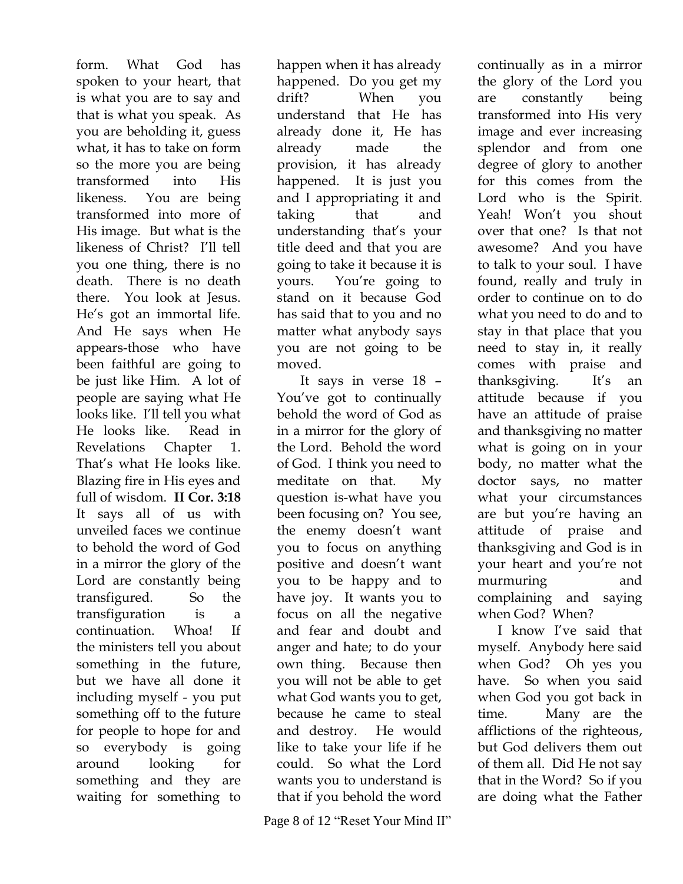form. What God has spoken to your heart, that is what you are to say and that is what you speak. As you are beholding it, guess what, it has to take on form so the more you are being transformed into His likeness. You are being transformed into more of His image. But what is the likeness of Christ? I'll tell you one thing, there is no death. There is no death there. You look at Jesus. He's got an immortal life. And He says when He appears-those who have been faithful are going to be just like Him. A lot of people are saying what He looks like. I'll tell you what He looks like. Read in Revelations Chapter 1. That's what He looks like. Blazing fire in His eyes and full of wisdom. **II Cor. 3:18** It says all of us with unveiled faces we continue to behold the word of God in a mirror the glory of the Lord are constantly being transfigured. So the transfiguration is a continuation. Whoa! If the ministers tell you about something in the future, but we have all done it including myself - you put something off to the future for people to hope for and so everybody is going around looking for something and they are waiting for something to

happen when it has already happened. Do you get my drift? When you understand that He has already done it, He has already made the provision, it has already happened. It is just you and I appropriating it and taking that and understanding that's your title deed and that you are going to take it because it is yours. You're going to stand on it because God has said that to you and no matter what anybody says you are not going to be moved.

It says in verse 18 – You've got to continually behold the word of God as in a mirror for the glory of the Lord. Behold the word of God. I think you need to meditate on that. My question is-what have you been focusing on? You see, the enemy doesn't want you to focus on anything positive and doesn't want you to be happy and to have joy. It wants you to focus on all the negative and fear and doubt and anger and hate; to do your own thing. Because then you will not be able to get what God wants you to get, because he came to steal and destroy. He would like to take your life if he could. So what the Lord wants you to understand is that if you behold the word

Page 8 of 12 "Reset Your Mind II"

continually as in a mirror the glory of the Lord you are constantly being transformed into His very image and ever increasing splendor and from one degree of glory to another for this comes from the Lord who is the Spirit. Yeah! Won't you shout over that one? Is that not awesome? And you have to talk to your soul. I have found, really and truly in order to continue on to do what you need to do and to stay in that place that you need to stay in, it really comes with praise and thanksgiving. It's an attitude because if you have an attitude of praise and thanksgiving no matter what is going on in your body, no matter what the doctor says, no matter what your circumstances are but you're having an attitude of praise and thanksgiving and God is in your heart and you're not murmuring and complaining and saying when God? When?

I know I've said that myself. Anybody here said when God? Oh yes you have. So when you said when God you got back in time. Many are the afflictions of the righteous, but God delivers them out of them all. Did He not say that in the Word? So if you are doing what the Father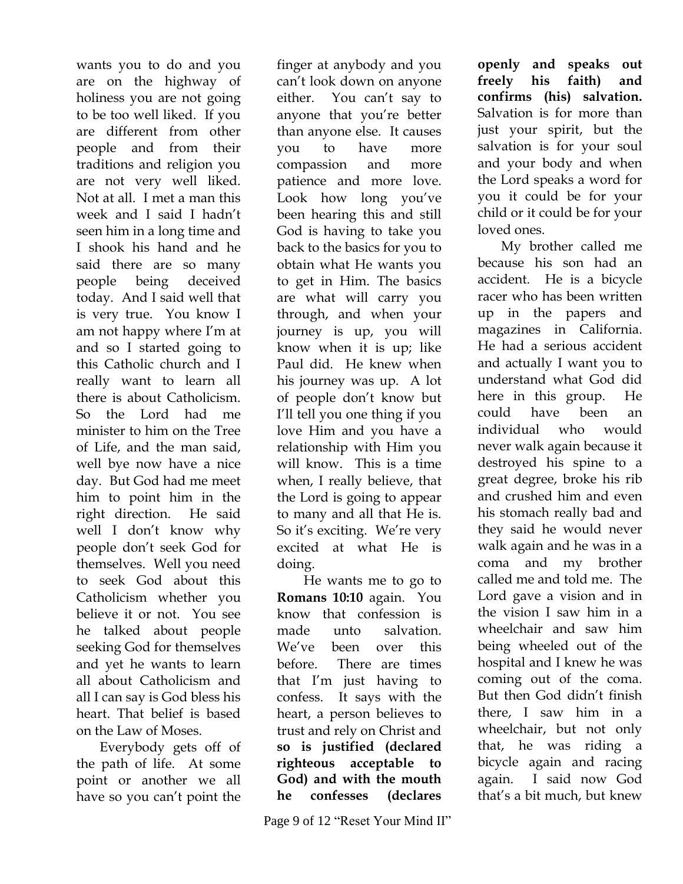wants you to do and you are on the highway of holiness you are not going to be too well liked. If you are different from other people and from their traditions and religion you are not very well liked. Not at all. I met a man this week and I said I hadn't seen him in a long time and I shook his hand and he said there are so many people being deceived today. And I said well that is very true. You know I am not happy where I'm at and so I started going to this Catholic church and I really want to learn all there is about Catholicism. So the Lord had me minister to him on the Tree of Life, and the man said, well bye now have a nice day. But God had me meet him to point him in the right direction. He said well I don't know why people don't seek God for themselves. Well you need to seek God about this Catholicism whether you believe it or not. You see he talked about people seeking God for themselves and yet he wants to learn all about Catholicism and all I can say is God bless his heart. That belief is based on the Law of Moses.

Everybody gets off of the path of life. At some point or another we all have so you can't point the

finger at anybody and you can't look down on anyone either. You can't say to anyone that you're better than anyone else. It causes you to have more compassion and more patience and more love. Look how long you've been hearing this and still God is having to take you back to the basics for you to obtain what He wants you to get in Him. The basics are what will carry you through, and when your journey is up, you will know when it is up; like Paul did. He knew when his journey was up. A lot of people don't know but I'll tell you one thing if you love Him and you have a relationship with Him you will know. This is a time when, I really believe, that the Lord is going to appear to many and all that He is. So it's exciting. We're very excited at what He is doing. He wants me to go to **Romans 10:10** again. You know that confession is

made unto salvation. We've been over this before. There are times that I'm just having to confess. It says with the heart, a person believes to trust and rely on Christ and **so is justified (declared righteous acceptable to God) and with the mouth he confesses (declares** 

**openly and speaks out freely his faith) and confirms (his) salvation.** Salvation is for more than just your spirit, but the salvation is for your soul and your body and when the Lord speaks a word for you it could be for your child or it could be for your loved ones.

My brother called me because his son had an accident. He is a bicycle racer who has been written up in the papers and magazines in California. He had a serious accident and actually I want you to understand what God did here in this group. He could have been an individual who would never walk again because it destroyed his spine to a great degree, broke his rib and crushed him and even his stomach really bad and they said he would never walk again and he was in a coma and my brother called me and told me. The Lord gave a vision and in the vision I saw him in a wheelchair and saw him being wheeled out of the hospital and I knew he was coming out of the coma. But then God didn't finish there, I saw him in a wheelchair, but not only that, he was riding a bicycle again and racing again. I said now God that's a bit much, but knew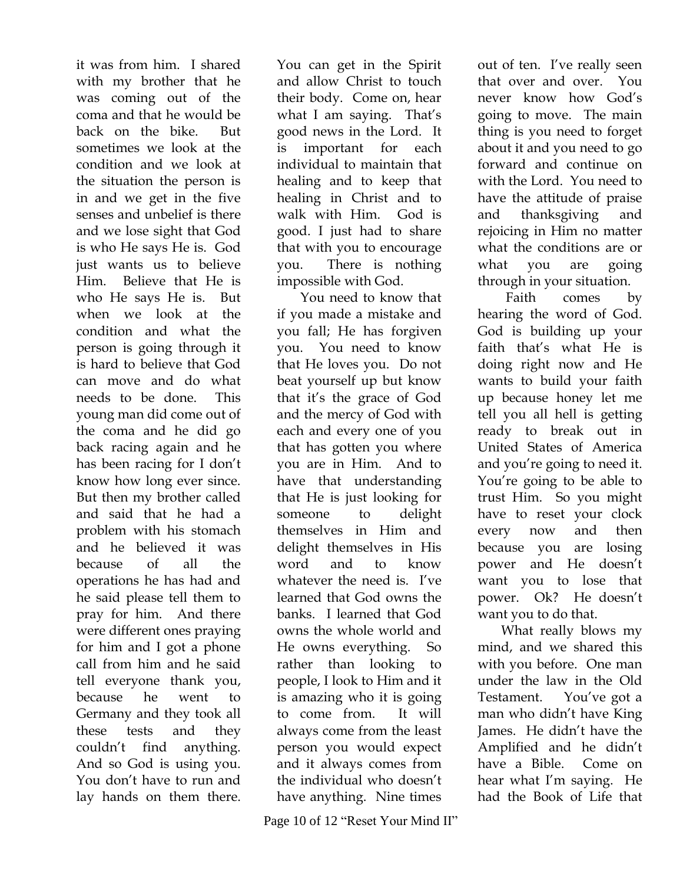it was from him. I shared with my brother that he was coming out of the coma and that he would be back on the bike. But sometimes we look at the condition and we look at the situation the person is in and we get in the five senses and unbelief is there and we lose sight that God is who He says He is. God just wants us to believe Him. Believe that He is who He says He is. But when we look at the condition and what the person is going through it is hard to believe that God can move and do what needs to be done. This young man did come out of the coma and he did go back racing again and he has been racing for I don't know how long ever since. But then my brother called and said that he had a problem with his stomach and he believed it was because of all the operations he has had and he said please tell them to pray for him. And there were different ones praying for him and I got a phone call from him and he said tell everyone thank you, because he went to Germany and they took all these tests and they couldn't find anything. And so God is using you. You don't have to run and lay hands on them there.

You can get in the Spirit and allow Christ to touch their body. Come on, hear what I am saying. That's good news in the Lord. It is important for each individual to maintain that healing and to keep that healing in Christ and to walk with Him. God is good. I just had to share that with you to encourage you. There is nothing impossible with God.

You need to know that if you made a mistake and you fall; He has forgiven you. You need to know that He loves you. Do not beat yourself up but know that it's the grace of God and the mercy of God with each and every one of you that has gotten you where you are in Him. And to have that understanding that He is just looking for someone to delight themselves in Him and delight themselves in His word and to know whatever the need is. I've learned that God owns the banks. I learned that God owns the whole world and He owns everything. So rather than looking to people, I look to Him and it is amazing who it is going to come from. It will always come from the least person you would expect and it always comes from the individual who doesn't have anything. Nine times

Page 10 of 12 "Reset Your Mind II"

out of ten. I've really seen that over and over. You never know how God's going to move. The main thing is you need to forget about it and you need to go forward and continue on with the Lord. You need to have the attitude of praise and thanksgiving and rejoicing in Him no matter what the conditions are or what you are going through in your situation.

Faith comes by hearing the word of God. God is building up your faith that's what He is doing right now and He wants to build your faith up because honey let me tell you all hell is getting ready to break out in United States of America and you're going to need it. You're going to be able to trust Him. So you might have to reset your clock every now and then because you are losing power and He doesn't want you to lose that power. Ok? He doesn't want you to do that.

What really blows my mind, and we shared this with you before. One man under the law in the Old Testament. You've got a man who didn't have King James. He didn't have the Amplified and he didn't have a Bible. Come on hear what I'm saying. He had the Book of Life that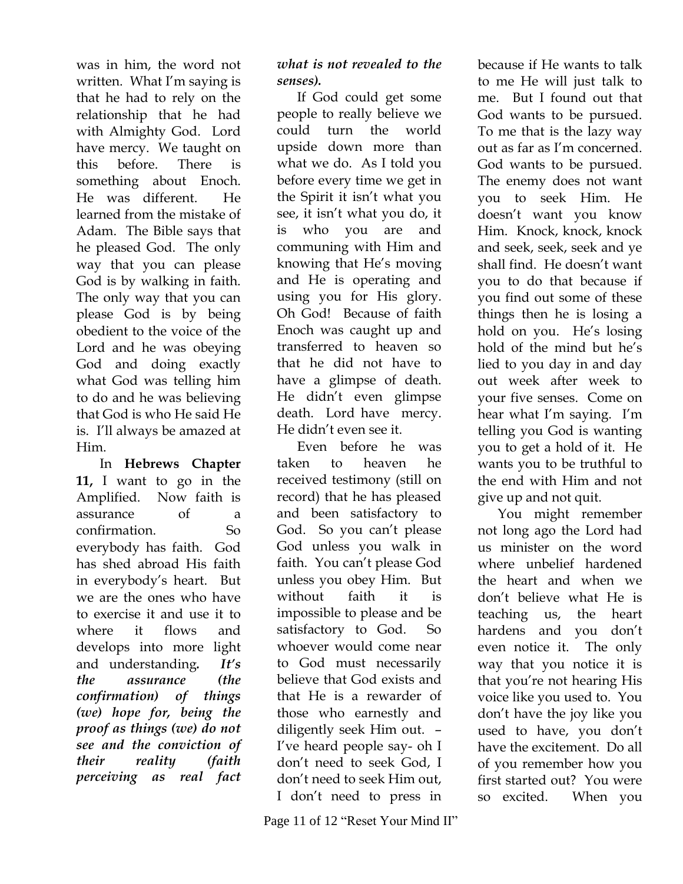was in him, the word not written. What I'm saying is that he had to rely on the relationship that he had with Almighty God. Lord have mercy. We taught on this before. There is something about Enoch. He was different. He learned from the mistake of Adam. The Bible says that he pleased God. The only way that you can please God is by walking in faith. The only way that you can please God is by being obedient to the voice of the Lord and he was obeying God and doing exactly what God was telling him to do and he was believing that God is who He said He is. I'll always be amazed at Him.

In **Hebrews Chapter 11,** I want to go in the Amplified. Now faith is assurance of a confirmation. So everybody has faith. God has shed abroad His faith in everybody's heart. But we are the ones who have to exercise it and use it to where it flows and develops into more light and understanding*. It's the assurance (the confirmation) of things (we) hope for, being the proof as things (we) do not see and the conviction of their reality (faith perceiving as real fact*

#### *what is not revealed to the senses).*

If God could get some people to really believe we could turn the world upside down more than what we do. As I told you before every time we get in the Spirit it isn't what you see, it isn't what you do, it is who you are and communing with Him and knowing that He's moving and He is operating and using you for His glory. Oh God! Because of faith Enoch was caught up and transferred to heaven so that he did not have to have a glimpse of death. He didn't even glimpse death. Lord have mercy. He didn't even see it.

Even before he was taken to heaven he received testimony (still on record) that he has pleased and been satisfactory to God. So you can't please God unless you walk in faith. You can't please God unless you obey Him. But without faith it is impossible to please and be satisfactory to God. So whoever would come near to God must necessarily believe that God exists and that He is a rewarder of those who earnestly and diligently seek Him out. – I've heard people say- oh I don't need to seek God, I don't need to seek Him out, I don't need to press in

Page 11 of 12 "Reset Your Mind II"

because if He wants to talk to me He will just talk to me. But I found out that God wants to be pursued. To me that is the lazy way out as far as I'm concerned. God wants to be pursued. The enemy does not want you to seek Him. He doesn't want you know Him. Knock, knock, knock and seek, seek, seek and ye shall find. He doesn't want you to do that because if you find out some of these things then he is losing a hold on you. He's losing hold of the mind but he's lied to you day in and day out week after week to your five senses. Come on hear what I'm saying. I'm telling you God is wanting you to get a hold of it. He wants you to be truthful to the end with Him and not give up and not quit.

You might remember not long ago the Lord had us minister on the word where unbelief hardened the heart and when we don't believe what He is teaching us, the heart hardens and you don't even notice it. The only way that you notice it is that you're not hearing His voice like you used to. You don't have the joy like you used to have, you don't have the excitement. Do all of you remember how you first started out? You were so excited. When you